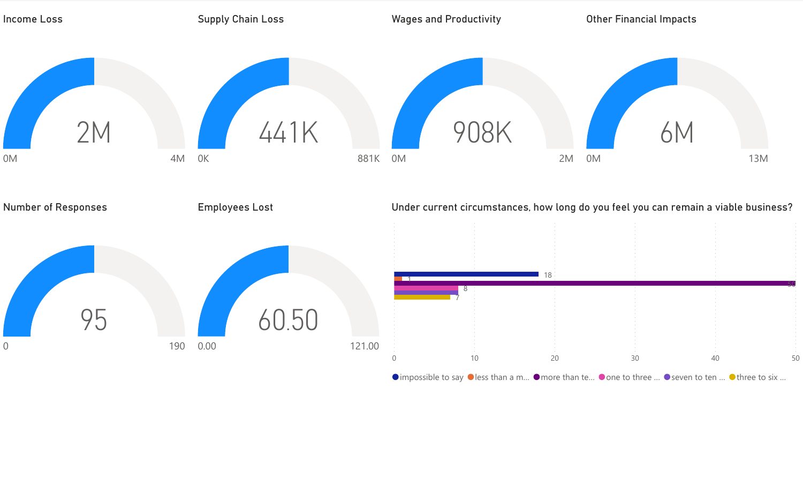

 $\bullet$  impossible to say  $\bullet$  less than a m...  $\bullet$  more than te...  $\bullet$  one to three ...  $\bullet$  seven to ten ...  $\bullet$  three to six ...